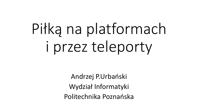# Piłką na platformach i przez teleporty

Andrzej P.Urbański Wydział Informatyki Politechnika Poznańska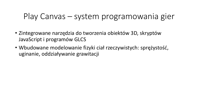## Play Canvas – system programowania gier

- Zintegrowane narzędzia do tworzenia obiektów 3D, skryptów JavaScript i programów GLCS
- Wbudowane modelowanie fizyki ciał rzeczywistych: sprężystość, uginanie, oddziaływanie grawitacji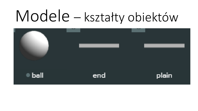# Modele – kształty obiektów

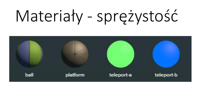# Materiały - sprężystość

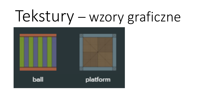# Tekstury – wzory graficzne

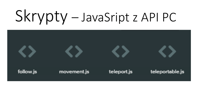# Skrypty – JavaSript z API PC

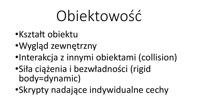# Obiektowość

- •Kształt obiektu
- •Wygląd zewnętrzny
- •Interakcja z innymi obiektami (collision)
- •Siła ciążenia i bezwładności (rigid body=dynamic)
- •Skrypty nadające indywidualne cechy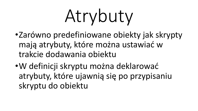Atrybuty

- •Zarówno predefiniowane obiekty jak skrypty mają atrybuty, które można ustawiać w trakcie dodawania obiektu
- •W definicji skryptu można deklarować atrybuty, które ujawnią się po przypisaniu skryptu do obiektu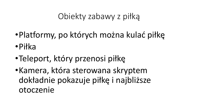## Obiekty zabawy z piłką

- •Platformy, po których można kulać piłkę •Piłka
- •Teleport, który przenosi piłkę
- •Kamera, która sterowana skryptem dokładnie pokazuje piłkę i najbliższe otoczenie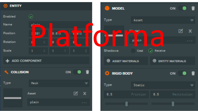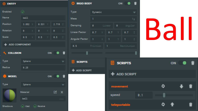#### $\odot$  ENTITY

| Enabled     |                |   |       |    |       |           |
|-------------|----------------|---|-------|----|-------|-----------|
| <b>Name</b> | ball.          |   |       |    |       |           |
| Position    | $3.852 \times$ |   | 0.531 | Y. | 2.719 | $\bullet$ |
| Rotation    | 0              | 赏 | Ø     | v  | ø     | z         |
| Scale       | 0.5            | х | 0.5   | v  | 0.5   | Z         |

ADD COMPONENT ┻

| <b>COLLISION</b><br>렉. |               | ON |
|------------------------|---------------|----|
| <b>Type</b>            | <b>Sphere</b> |    |
| <b>Radius</b>          | 0.25          |    |

Ť

W



| RIGID BODY        |          |        |        | ON        |                     |                         |     |
|-------------------|----------|--------|--------|-----------|---------------------|-------------------------|-----|
| ype               | Dynamic  |        |        |           |                     |                         |     |
| lass              | ī        |        |        |           |                     | Kg                      |     |
| amping            | Ø        |        | Linear | $\pmb{0}$ | Angular             |                         |     |
| near Factor       | $0.7 -$  | $\chi$ | 0.7    | Y.        | 0.7                 | $\overline{\mathbb{Z}}$ |     |
| ngular Factor 1   |          | $\chi$ | ĩ      | Y         | ī                   | Z                       |     |
| 0.5               | Friction |        | 1      |           | Restitution         |                         |     |
|                   |          |        |        |           |                     |                         |     |
| SCRIPTS           |          |        | 8      |           | <b>SCRIPTS</b>      |                         |     |
| <b>ADD SCRIPT</b> |          |        |        |           |                     |                         |     |
|                   |          |        |        |           | <b>+ ADD SCRIPT</b> |                         |     |
|                   |          |        |        | movement  |                     |                         |     |
|                   |          |        |        | speed     |                     |                         | 0.1 |
|                   |          |        |        |           |                     |                         |     |

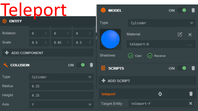| Teleport                  |          |   |      |    |     |                          | <b>MODEL</b>                     |                                  | ON |                                    |
|---------------------------|----------|---|------|----|-----|--------------------------|----------------------------------|----------------------------------|----|------------------------------------|
| ⊛<br><b>ENTITY</b>        |          |   |      |    |     |                          | Type                             | Cylinder                         |    | $\overline{\phantom{a}}$           |
| Rotation                  | 0        | X | 0    |    | 0   | $\mathbb Z$              |                                  | Material                         | 匛  | $\mathbf{x}$                       |
| Scale                     | 0.5      |   | 0.05 |    | 0.5 | $\mathbb Z$              |                                  | teleport-b                       |    | $\mathbf{H}=\mathbf{H}+\mathbf{H}$ |
| <b>ADD COMPONENT</b><br>÷ |          |   |      |    |     |                          | Shadows                          | $\odot$ Cast<br>$\omega$ Receive |    |                                    |
| <b>COLLISION</b>          |          |   |      | ON |     | ▝                        | <b>SCRIPTS</b><br>$\blacksquare$ |                                  | ON | ▁                                  |
| <b>Type</b>               | Cylinder |   |      |    |     | $\overline{\mathbf{v}}$  | $+$ ADD SCRIPT                   |                                  |    |                                    |
| Radius                    | 0.25     |   |      |    |     |                          |                                  |                                  |    |                                    |
| <b>Height</b>             | 0.25     |   |      |    |     |                          | teleport                         | ٥                                |    | î                                  |
| <b>Axis</b>               | Y        |   |      |    |     | $\overline{\phantom{a}}$ | <b>Target Entity</b>             | teleport-f                       |    | ×                                  |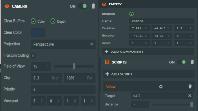| <b>CAMERA</b><br>[O] |                                       | $\bullet$ i<br>ON        | $\odot$ ENTITY                   |                     |                   |
|----------------------|---------------------------------------|--------------------------|----------------------------------|---------------------|-------------------|
|                      |                                       |                          | Enabled                          | $\odot$             |                   |
| Clear Buffers        | $\odot$ Color<br>$(\checkmark)$ Depth |                          | Name                             | camera              |                   |
| Clear Color          |                                       |                          | Position                         | $7.021 \times$      | $-4.045$ Y        |
|                      |                                       |                          | Rotation                         | $-43.82$ X          | 73.33<br>W        |
| Projection           | Perspective                           | $\overline{\phantom{a}}$ | Scale                            | $\mathbb{X}^-$<br>1 | Y<br>$\mathbf{1}$ |
| Frustum Culling (ii) |                                       |                          | + ADD COMPONENT                  |                     |                   |
|                      |                                       |                          | $\blacksquare$<br><b>SCRIPTS</b> |                     | ON                |
| Field of View        | $\mathbb{O}$<br>45                    |                          |                                  |                     |                   |
| Clip                 | 0.3<br>Near                           | 1000<br>- Far            | + ADD SCRIPT                     |                     |                   |
| Priority             | 0                                     |                          | follow                           |                     | Ô                 |
|                      |                                       |                          | Target                           | ball                |                   |
| Viewport             | 0<br>0<br>- Х.<br>Y.                  | $1 \quad$<br>$1$ H       | distance                         | 4                   |                   |

 $1.7$ 

ON 0 1

î

 $\pmb{\times}$ 

Π

 $\mathcal O$ 

 $Y \parallel 1$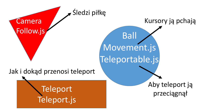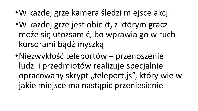- •W każdej grze kamera śledzi miejsce akcji
- •W każdej grze jest obiekt, z którym gracz może się utożsamić, bo wprawia go w ruch kursorami bądź myszką
- •Niezwykłość teleportów przenoszenie ludzi i przedmiotów realizuje specjalnie opracowany skrypt "teleport.js", który wie w jakie miejsce ma nastąpić przeniesienie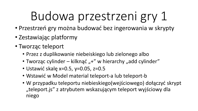## Budowa przestrzeni gry 1

- Przestrzeń gry można budować bez ingerowania w skrypty
- Zestawiając platformy
- Tworząc teleport
	- Przez z duplikowanie niebeiskiego lub zielonego albo
	- Tworząc cylinder kilknąć " $+$ " w hierarchy "add cylinder"
	- Ustawić skalę x=0.5, y=0.05, z=0.5
	- Wstawić w Model material teleport-a lub teleport-b
	- W przypadku teleportu niebieskiego(wejściowego) dołączyć skrypt "teleport.js" z atrybutem wskazującym teleport wyjściowy dla niego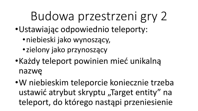## Budowa przestrzeni gry 2

- •Ustawiając odpowiednio teleporty:
	- •niebieski jako wynoszący,
	- •zielony jako przynoszący
- •Każdy teleport powinien mieć unikalną nazwę
- •W niebieskim teleporcie koniecznie trzeba ustawić atrybut skryptu "Target entity" na teleport, do którego nastąpi przeniesienie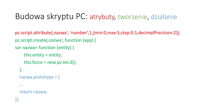## Budowa skryptu PC: atrybuty, tworzenie, działanie

pc.script.attribute(,nazwa', 'number',1,{min:0,max:5,step:0.5,decimalPrecision:2}); pc.script.create(,nazwa', function (app) {

```
var nazwa= function (entity) {
```

```
this.entity = entity;
  this.force = new pc.Vec3();
};
nazwa.prototype = {
… 
return nazwa;
```
});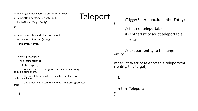```
// The target entity where we are going to teleport
pc.script.attribute('target', 'entity', null, {
  displayName: 'Target Entity'
});
```

```
pc.script.create('teleport', function (app) {
  var Teleport = function (entity) {
    this.entity = entity;
```

```
};
```

```
Teleport.prototype = {
```
initialize: function () {

if (this.target) {

// Subscribe to the triggerenter event of this entity's collision component.

// This will be fired when a rigid body enters this collision volume.

```
this.entity.collision.on('triggerenter', this.onTriggerEnter, 
this);
```
},

}

## Teleport

{

onTriggerEnter: function (otherEntity)

// it is not teleportable if (! otherEntity.script.teleportable) return;

// teleport entity to the target entity

otherEntity.script.teleportable.teleport(thi s.entity, this.target);

```
}
};
```
return Teleport; });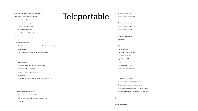pc.script.create('teleportable', function (app) { var Teleportable = function (entity) { this.entity = entity; this.startPosition = null; this.lastTeleportFrom = null; this.lastTeleportTo = null; this.lastTeleport = Date.now();  $\mathfrak{r}$ Teleportable.prototype = {

// Called once after all resources are loaded and before the first update

initialize: function () {

this.startPosition = this.entity.getPosition().clone();

},

update: function() {

// Make sure we don't fall over. If we do then

// teleport to the last location

var pos = this.entity.getPosition();

if (pos.y  $<$  0) {

this.teleport(this.lastTeleportFrom, this.lastTeleportTo);

}

},

teleport: function(from, to) {

// can't teleport too often (500ms)

if (from && (Date.now() - this.lastTeleport) < 500)

return;

### Teleportable

// set new teleport time

this.lastTeleport = Date.now();

// set last teleport targets

this.lastTeleportFrom = from;

this.lastTeleportTo = to;

// position to teleport to

var position;

if (to) {

// from target

position = to.getPosition();

// move a bit higher

position.y += 0.5;

} else {

// to respawn location

position = this.startPosition;

}

// move ball to that point this.entity.rigidbody.teleport(position); // need to reset angular and linear forces this.entity.rigidbody.linearVelocity = pc.Vec3.ZERO; this.entity.rigidbody.angularVelocity = pc.Vec3.ZERO;

return Teleportable;

} };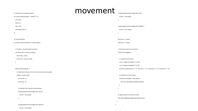|                                                                | movement |                                                                                                  |
|----------------------------------------------------------------|----------|--------------------------------------------------------------------------------------------------|
| // Controls the movement speed                                 |          | if (app.keyboard.isPressed(pc.KEY_UP)) {                                                         |
| pc.script.attribute('speed', 'number', 0.1, {                  |          | $forceZ = -this.\,speed;$                                                                        |
| min: 0.05,                                                     |          |                                                                                                  |
| max: 0.5,                                                      |          |                                                                                                  |
| step: 0.05,                                                    |          | if (app.keyboard.isPressed(pc.KEY_DOWN)) {                                                       |
| decimalPrecision: 2                                            |          | forceZ += this.speed;                                                                            |
| $\})$ ;                                                        |          |                                                                                                  |
|                                                                |          |                                                                                                  |
| // Script Definition                                           |          | this.force. $x =$ forceX;                                                                        |
| pc.script.create('movement', function (app) {                  |          | this.force.z = forceZ;                                                                           |
|                                                                |          |                                                                                                  |
| // Creates a new Movement instance                             |          | // if we have some non-zero force                                                                |
| var Movement = function (entity) {                             |          | if (this.force.length()) {                                                                       |
| this.entity = entity;                                          |          |                                                                                                  |
| this.force = new pc.Vec3();                                    |          | // calculate force vector                                                                        |
| };                                                             |          | var $rX = Math.co(s-Math.PI * 0.25);$                                                            |
|                                                                |          | var $rY = Math.sin(-Math.PI * 0.25);$                                                            |
| Movement.prototype = $\{$                                      |          | this.force.set(this.force.x * rX - this.force.z * rY, 0, this.force.z * rX + this.force.x * rY); |
| // Called every frame, dt is time in seconds since last update |          |                                                                                                  |
| update: function (dt) {                                        |          | // clamp force to the speed                                                                      |
| var force $X = 0$ ;                                            |          | if (this.force.length() > this.speed) {                                                          |
| var force $Z = 0$ ;                                            |          | this.force.normalize().scale(this.speed);                                                        |
|                                                                |          | - }                                                                                              |
| // calculate force based on pressed keys                       |          | - 1                                                                                              |
| if (app.keyboard.isPressed(pc.KEY_LEFT)) {                     |          |                                                                                                  |
| $forceX = -this.\,speed;$                                      |          | // apply impulse to move the entity                                                              |
| $\mathcal{E}$                                                  |          | this.entity.rigidbody.applyImpulse(this.force);                                                  |
|                                                                |          | - 1                                                                                              |
| if (app.keyboard.isPressed(pc.KEY_RIGHT)) {                    | };       |                                                                                                  |
| forceX += this.speed;                                          |          |                                                                                                  |

return Movement;

 $\sim$  100  $\mu$